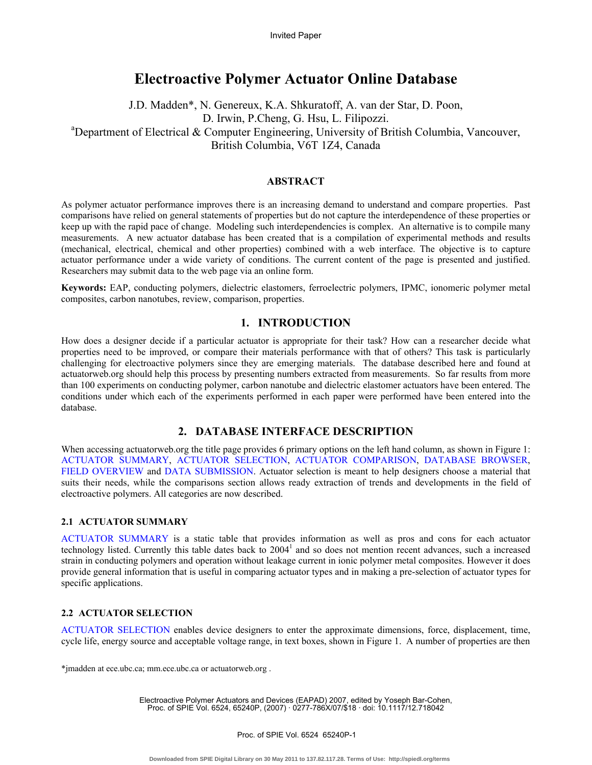# **Electroactive Polymer Actuator Online Database**

J.D. Madden\*, N. Genereux, K.A. Shkuratoff, A. van der Star, D. Poon, D. Irwin, P.Cheng, G. Hsu, L. Filipozzi. Department of Electrical & Computer Engineering, University of British Columbia, Vancouver, British Columbia, V6T 1Z4, Canada

# **ABSTRACT**

As polymer actuator performance improves there is an increasing demand to understand and compare properties. Past comparisons have relied on general statements of properties but do not capture the interdependence of these properties or keep up with the rapid pace of change. Modeling such interdependencies is complex. An alternative is to compile many measurements. A new actuator database has been created that is a compilation of experimental methods and results (mechanical, electrical, chemical and other properties) combined with a web interface. The objective is to capture actuator performance under a wide variety of conditions. The current content of the page is presented and justified. Researchers may submit data to the web page via an online form.

**Keywords:** EAP, conducting polymers, dielectric elastomers, ferroelectric polymers, IPMC, ionomeric polymer metal composites, carbon nanotubes, review, comparison, properties.

# **1. INTRODUCTION**

How does a designer decide if a particular actuator is appropriate for their task? How can a researcher decide what properties need to be improved, or compare their materials performance with that of others? This task is particularly challenging for electroactive polymers since they are emerging materials. The database described here and found at actuatorweb.org should help this process by presenting numbers extracted from measurements. So far results from more than 100 experiments on conducting polymer, carbon nanotube and dielectric elastomer actuators have been entered. The conditions under which each of the experiments performed in each paper were performed have been entered into the database.

# **2. DATABASE INTERFACE DESCRIPTION**

When accessing actuatorweb.org the title page provides 6 primary options on the left hand column, as shown in Figure 1: ACTUATOR SUMMARY, ACTUATOR SELECTION, ACTUATOR COMPARISON, DATABASE BROWSER, FIELD OVERVIEW and DATA SUBMISSION. Actuator selection is meant to help designers choose a material that suits their needs, while the comparisons section allows ready extraction of trends and developments in the field of electroactive polymers. All categories are now described.

### **2.1 ACTUATOR SUMMARY**

ACTUATOR SUMMARY is a static table that provides information as well as pros and cons for each actuator technology listed. Currently this table dates back to  $2004<sup>1</sup>$  and so does not mention recent advances, such a increased strain in conducting polymers and operation without leakage current in ionic polymer metal composites. However it does provide general information that is useful in comparing actuator types and in making a pre-selection of actuator types for specific applications.

# **2.2 ACTUATOR SELECTION**

ACTUATOR SELECTION enables device designers to enter the approximate dimensions, force, displacement, time, cycle life, energy source and acceptable voltage range, in text boxes, shown in Figure 1. A number of properties are then

\*jmadden at ece.ubc.ca; mm.ece.ubc.ca or actuatorweb.org .

Electroactive Polymer Actuators and Devices (EAPAD) 2007, edited by Yoseph Bar-Cohen, Proc. of SPIE Vol. 6524, 65240P, (2007) · 0277-786X/07/\$18 · doi: 10.1117/12.718042

Proc. of SPIE Vol. 6524 65240P-1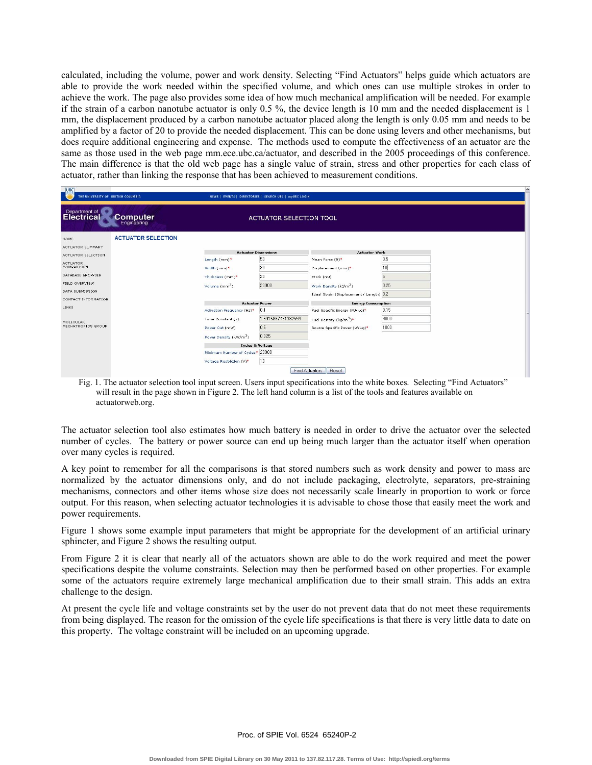calculated, including the volume, power and work density. Selecting "Find Actuators" helps guide which actuators are able to provide the work needed within the specified volume, and which ones can use multiple strokes in order to achieve the work. The page also provides some idea of how much mechanical amplification will be needed. For example if the strain of a carbon nanotube actuator is only 0.5 %, the device length is 10 mm and the needed displacement is 1 mm, the displacement produced by a carbon nanotube actuator placed along the length is only 0.05 mm and needs to be amplified by a factor of 20 to provide the needed displacement. This can be done using levers and other mechanisms, but does require additional engineering and expense. The methods used to compute the effectiveness of an actuator are the same as those used in the web page mm.ece.ubc.ca/actuator, and described in the 2005 proceedings of this conference. The main difference is that the old web page has a single value of strain, stress and other properties for each class of actuator, rather than linking the response that has been achieved to measurement conditions.

| UBC<br>THE UNIVERSITY OF BRITISH COLUMBIA |                           | NEWS   EVENTS   DIRECTORIES   SEARCH UBC   myUBC LOGIN |                    |                                          |      |  |  |
|-------------------------------------------|---------------------------|--------------------------------------------------------|--------------------|------------------------------------------|------|--|--|
| Department of<br><b>Computer</b>          |                           | ACTUATOR SELECTION TOOL                                |                    |                                          |      |  |  |
| HOME                                      | <b>ACTUATOR SELECTION</b> |                                                        |                    |                                          |      |  |  |
| ACTUATOR SUMMARY                          |                           | <b>Actuator Dimensions</b>                             |                    |                                          |      |  |  |
| ACTUATOR SELECTION                        |                           | Length (mm)*                                           | 50                 | <b>Actuator Work</b><br>Mean Force (N)*  | 0.5  |  |  |
| <b>ACTUATOR</b><br>COMPARISON             |                           | Width (mm)*                                            | 20                 |                                          | 10   |  |  |
| DATABASE BROWSER                          |                           | Thickness (mm)*                                        | 20                 | Displacement (mm)*                       |      |  |  |
| FIELD OVERVIEW                            |                           |                                                        |                    | Work (mJ)                                |      |  |  |
| <b>DATA SUBMISSION</b>                    |                           | Volume (mm <sup>3</sup> )                              | 20000              | Work Density (kJ/m <sup>3</sup> )        | 0.25 |  |  |
| CONTACT INFORMATION                       |                           |                                                        |                    | Ideal Strain (Displacement / Length) 0.2 |      |  |  |
| <b>LINKS</b>                              |                           | <b>Actuator Power</b>                                  |                    | <b>Energy Consumption</b>                |      |  |  |
|                                           |                           | Activation Frequency (Hz)*                             | 0.1                | Fuel Specific Energy (MJ/kg)*            | 0.15 |  |  |
| <b>MOLECULAR</b>                          |                           | Time Constant (s)                                      | 1.5915867451382593 | Fuel Density (kg/m <sup>3</sup> )*       | 4000 |  |  |
| MECHATRONICS GROUP                        |                           | Power Out (mW)                                         | 0.5                | Source Specific Power (W/kg)*            | 1000 |  |  |
|                                           |                           | Power Density (kW/m <sup>3</sup> )                     | 0.025              |                                          |      |  |  |
|                                           |                           | <b>Cycles &amp; Voltage</b>                            |                    |                                          |      |  |  |
|                                           |                           | Minimum Number of Cycles* 20000                        |                    |                                          |      |  |  |
|                                           |                           | Voltage Restriction (V)*                               | 10                 |                                          |      |  |  |
|                                           |                           |                                                        |                    | <b>Find Actuators</b><br>Reset           |      |  |  |

Fig. 1. The actuator selection tool input screen. Users input specifications into the white boxes. Selecting "Find Actuators" will result in the page shown in Figure 2. The left hand column is a list of the tools and features available on actuatorweb.org.

The actuator selection tool also estimates how much battery is needed in order to drive the actuator over the selected number of cycles. The battery or power source can end up being much larger than the actuator itself when operation over many cycles is required.

A key point to remember for all the comparisons is that stored numbers such as work density and power to mass are normalized by the actuator dimensions only, and do not include packaging, electrolyte, separators, pre-straining mechanisms, connectors and other items whose size does not necessarily scale linearly in proportion to work or force output. For this reason, when selecting actuator technologies it is advisable to chose those that easily meet the work and power requirements.

Figure 1 shows some example input parameters that might be appropriate for the development of an artificial urinary sphincter, and Figure 2 shows the resulting output.

From Figure 2 it is clear that nearly all of the actuators shown are able to do the work required and meet the power specifications despite the volume constraints. Selection may then be performed based on other properties. For example some of the actuators require extremely large mechanical amplification due to their small strain. This adds an extra challenge to the design.

At present the cycle life and voltage constraints set by the user do not prevent data that do not meet these requirements from being displayed. The reason for the omission of the cycle life specifications is that there is very little data to date on this property. The voltage constraint will be included on an upcoming upgrade.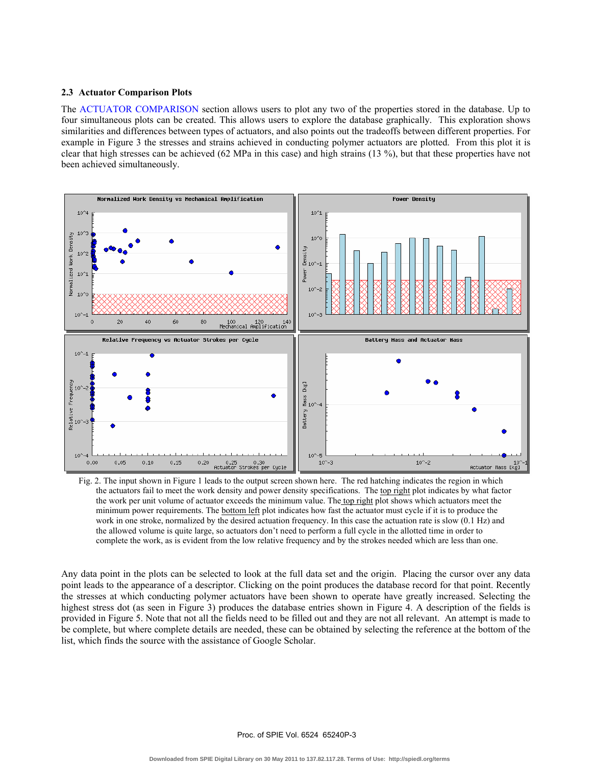#### **2.3 Actuator Comparison Plots**

The ACTUATOR COMPARISON section allows users to plot any two of the properties stored in the database. Up to four simultaneous plots can be created. This allows users to explore the database graphically. This exploration shows similarities and differences between types of actuators, and also points out the tradeoffs between different properties. For example in Figure 3 the stresses and strains achieved in conducting polymer actuators are plotted. From this plot it is clear that high stresses can be achieved (62 MPa in this case) and high strains (13 %), but that these properties have not been achieved simultaneously.



Fig. 2. The input shown in Figure 1 leads to the output screen shown here. The red hatching indicates the region in which the actuators fail to meet the work density and power density specifications. The top right plot indicates by what factor the work per unit volume of actuator exceeds the minimum value. The top right plot shows which actuators meet the minimum power requirements. The bottom left plot indicates how fast the actuator must cycle if it is to produce the work in one stroke, normalized by the desired actuation frequency. In this case the actuation rate is slow (0.1 Hz) and the allowed volume is quite large, so actuators don't need to perform a full cycle in the allotted time in order to complete the work, as is evident from the low relative frequency and by the strokes needed which are less than one.

Any data point in the plots can be selected to look at the full data set and the origin. Placing the cursor over any data point leads to the appearance of a descriptor. Clicking on the point produces the database record for that point. Recently the stresses at which conducting polymer actuators have been shown to operate have greatly increased. Selecting the highest stress dot (as seen in Figure 3) produces the database entries shown in Figure 4. A description of the fields is provided in Figure 5. Note that not all the fields need to be filled out and they are not all relevant. An attempt is made to be complete, but where complete details are needed, these can be obtained by selecting the reference at the bottom of the list, which finds the source with the assistance of Google Scholar.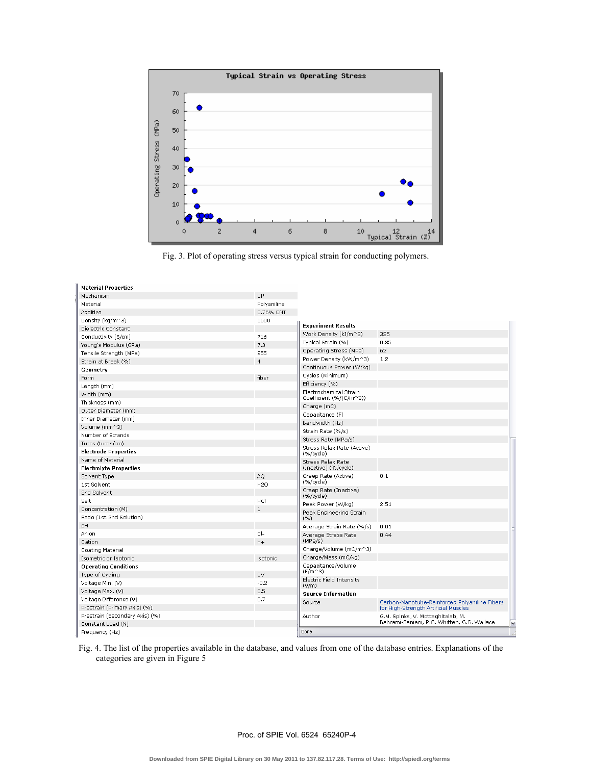

Fig. 3. Plot of operating stress versus typical strain for conducting polymers.

| <b>Material Properties</b>     |                 |                                         |                                               |  |  |
|--------------------------------|-----------------|-----------------------------------------|-----------------------------------------------|--|--|
| Mechanism                      | CP              |                                         |                                               |  |  |
| Material                       | Polyaniline     |                                         |                                               |  |  |
| Additive                       | 0.76% CNT       |                                         |                                               |  |  |
| Density (kg/m^3)               | 1500            |                                         |                                               |  |  |
| Dielectric Constant            |                 | <b>Experiment Results</b>               |                                               |  |  |
| Conductivity (S/cm)            | 716             | Work Density (kJ/m^3)                   | 325                                           |  |  |
| Young's Modulus (GPa)          | 7.3             | Typical Strain (%)                      | 0.85                                          |  |  |
| Tensile Strength (MPa)         | 255             | Operating Stress (MPa)                  | 62                                            |  |  |
| Strain at Break (%)            | $\overline{4}$  | Power Density (kW/m^3)                  | 1.2                                           |  |  |
| Geometry                       |                 | Continuous Power (W/kg)                 |                                               |  |  |
| Form                           | fiber           | Cycles (Minimum)                        |                                               |  |  |
| Length (mm)                    |                 | Efficiency (%)                          |                                               |  |  |
| Width (mm)                     |                 | Electrochemical Strain                  |                                               |  |  |
| Thickness (mm)                 |                 | Coefficient (%/(C/m^3))                 |                                               |  |  |
| Outer Diameter (mm)            |                 | Charge (mC)                             |                                               |  |  |
| Inner Diameter (mm)            |                 | Capacitance (F)                         |                                               |  |  |
| Volume (mm^3)                  |                 | Bandwidth (Hz)                          |                                               |  |  |
| Number of Strands              |                 | Strain Rate (%/s)                       |                                               |  |  |
| Turns (turns/cm)               |                 | Stress Rate (MPa/s)                     |                                               |  |  |
| <b>Electrode Properties</b>    |                 | Stress Relax Rate (Active)<br>(%/cycle) |                                               |  |  |
| Name of Material               |                 | Stress Relax Rate                       |                                               |  |  |
| <b>Electrolyte Properties</b>  |                 | (Inactive) (%/cycle)                    |                                               |  |  |
| Solvent Type                   | AO.             | Creep Rate (Active)                     | 0.1                                           |  |  |
| 1st Solvent                    | H <sub>20</sub> | (%/cycle)                               |                                               |  |  |
| 2nd Solvent                    |                 | Creep Rate (Inactive)<br>(%/cycle)      |                                               |  |  |
| Salt                           | HCI             | Peak Power (W/kg)                       | 2.51                                          |  |  |
| Concentration (M)              | $\mathbf{1}$    | Peak Engineering Strain                 |                                               |  |  |
| Ratio (1st:2nd Solution)       |                 | ( %)                                    |                                               |  |  |
| pH                             |                 | Average Strain Rate (%/s)               | 0.01                                          |  |  |
| Anion                          | $Cl-$           | Average Stress Rate                     | 0.44                                          |  |  |
| $H +$<br>Cation                |                 | (MPa/s)                                 |                                               |  |  |
| Coating Material               |                 | Charge/Volume (mC/m^3)                  |                                               |  |  |
| Isometric or Isotonic          | isotonic        | Charge/Mass (mC/kg)                     |                                               |  |  |
| <b>Operating Conditions</b>    |                 | Capacitance/Volume<br>$(F/m^3)$         |                                               |  |  |
| Type of Cycling                | CV              |                                         |                                               |  |  |
| Voltage Min. (V)               | $-0.2$          | Electric Field Intensity<br>(V/m)       |                                               |  |  |
| Voltage Max. (V)               | 0.5             | <b>Source Information</b>               |                                               |  |  |
| 0.7<br>Voltage Difference (V)  |                 | Source                                  | Carbon-Nanotube-Reinforced Polyaniline Fibers |  |  |
| Prestrain (Primary Axis) (%)   |                 |                                         | for High-Strength Artificial Muscles          |  |  |
| Prestrain (Secondary Axis) (%) |                 | Author                                  | G.M. Spinks, V. Mottaghitalab, M.             |  |  |
| Constant Load (N)              |                 |                                         | Bahrami-Saniani, P.G. Whitten, G.G. Wallace   |  |  |
| Frequency (Hz)                 |                 | Done                                    |                                               |  |  |

Fig. 4. The list of the properties available in the database, and values from one of the database entries. Explanations of the categories are given in Figure 5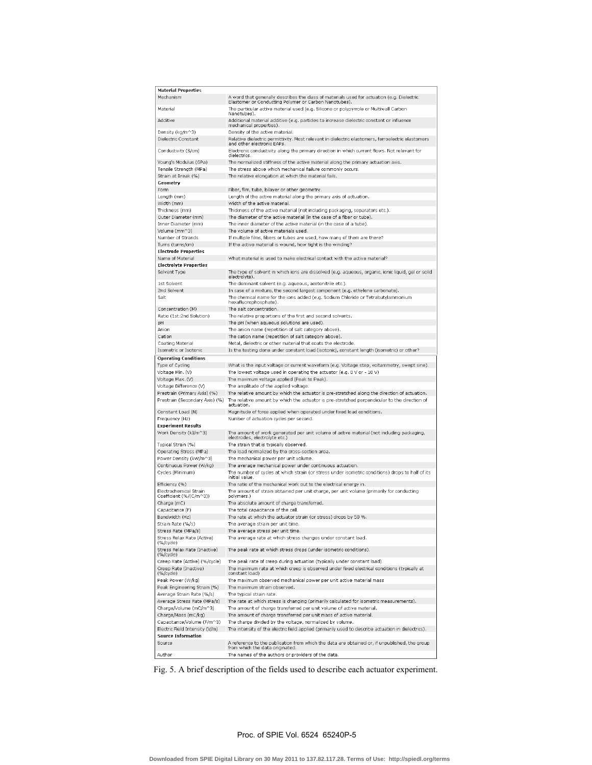| Material Properties                                    |                                                                                                                                                                        |
|--------------------------------------------------------|------------------------------------------------------------------------------------------------------------------------------------------------------------------------|
| Mechanism                                              | A word that generally describes the class of materials used for actuation (e.g. Dielectric<br>Elastomer or Conducting Polymer or Carbon Nanotubes).                    |
| Material                                               | The particular active material used (e.g. Silicone or polypyrrole or Multiwall Carbon<br>Nanotubes).                                                                   |
| Additive                                               | Additional material additive (e.g. particles to increase dielectric constant or influence<br>mechanical properties).                                                   |
| Density (kg/m^3)                                       | Density of the active material.                                                                                                                                        |
| Dielectric Constant                                    | Relative dielectric permittivity. Most relevant in dielectric elastomers, ferroelectric elastomers                                                                     |
| Conductivity (S/cm)                                    | and other electronic EAPs.<br>Electronic conductivity along the primary direction in which current flows. Not relevant for                                             |
|                                                        | dielectrics.                                                                                                                                                           |
| Young's Modulus (GPa)                                  | The normalized stiffness of the active material along the primary actuation axis.                                                                                      |
| Tensile Strength (MPa)<br>Strain at Break (%)          | The stress above which mechanical failure commonly occurs.<br>The relative elongation at which the material fails.                                                     |
| Geometry                                               |                                                                                                                                                                        |
| Form                                                   | Fiber, film, tube, bilayer or other geometry.                                                                                                                          |
| Length (mm)                                            | Length of the active material along the primary axis of actuation.                                                                                                     |
| Width (mm)                                             | Width of the active material.                                                                                                                                          |
| Thickness (mm)                                         | Thickness of the active material (not including packaging, separators etc.).                                                                                           |
| Outer Diameter (mm)                                    | The diameter of the active material (in the case of a fiber or tube).                                                                                                  |
| Inner Diameter (mm)                                    | The inner diameter of the active material (in the case of a tube).                                                                                                     |
| Volume (mm^3)                                          | The volume of active materials used.                                                                                                                                   |
| Number of Strands                                      | If multiple films, fibers or tubes are used, how many of them are there?                                                                                               |
| Turns (turns/cm)                                       | If the active material is wound, how tight is the winding?                                                                                                             |
| Electrode Properties<br>Name of Material               | What material is used to make electrical contact with the active material?                                                                                             |
| Electrolyte Properties                                 |                                                                                                                                                                        |
| Solvent Type                                           | The type of solvent in which ions are dissolved (e.g. aqueous, organic, ionic liquid, gel or solid                                                                     |
|                                                        | electrolyte).                                                                                                                                                          |
| 1st Solvent                                            | The dominant solvent (e.g. aqueous, acetonitrile etc.).                                                                                                                |
| 2nd Solvent                                            | In case of a mixture, the second largest component (e.g. ethylene carbonate).                                                                                          |
| Salt                                                   | The chemical name for the ions added (e.g. Sodium Chloride or Tetrabutylammonium<br>hexafluorophosphate).                                                              |
| Concentration (M)                                      | The salt concentration.                                                                                                                                                |
| Ratio (1st:2nd Solution)                               | The relative proportions of the first and second solvents.                                                                                                             |
| pН                                                     | The pH (when aqueous solutions are used).                                                                                                                              |
| Anion                                                  | The anion name (repetition of salt category above).                                                                                                                    |
| Cation                                                 | The cation name (repetition of salt category above).                                                                                                                   |
| Coating Material<br>Isometric or Isotonic              | Metal, dielectric or other material that coats the electrode.<br>Is the testing done under constant load (isotonic), constant length (isometric) or other?             |
|                                                        |                                                                                                                                                                        |
| Operating Conditions<br>Type of Cycling                | What is the input voltage or current waveform (e.g. Voltage step, voltammetry, swept sine)                                                                             |
| Voltage Min. (V)                                       | The lowest voltage used in operating the actuator (e.g. 0 V or - 10 V)                                                                                                 |
| Voltage Max. (V)                                       | The maximum voltage applied (Peak to Peak).                                                                                                                            |
| √oltage Difference (V)                                 | The amplitude of the applied voltage.                                                                                                                                  |
| Prestrain (Primary Axis) (%)                           | The relative amount by which the actuator is pre-stretched along the direction of actuation.                                                                           |
| Prestrain (Secondary Axis) (%)                         | The relative amount by which the actuator is pre-stretched perpendicular to the direction of<br>actuation.                                                             |
| Constant Load (N)                                      | Magnitude of force applied when operated under fixed load conditions.                                                                                                  |
| Frequency (Hz)                                         | Number of actuation cycles per second.                                                                                                                                 |
| Experiment Results                                     |                                                                                                                                                                        |
| Work Density (kJ/m^3)                                  | The amount of work generated per unit volume of active material (not including packaging,<br>electrodes, electrolyte etc.)                                             |
| Typical Strain (%)                                     | The strain that is typically observed.                                                                                                                                 |
| Operating Stress (MPa)                                 | The load normalized by the cross-section area.                                                                                                                         |
| Power Density (kW/m^3)                                 | The mechanical power per unit volume.                                                                                                                                  |
| Continuous Power (W/kg)                                | The average mechanical power under continuous actuation.                                                                                                               |
| Cycles (Minimum)                                       | The number of cycles at which strain (or stress under isometric conditions) drops to half of its<br>initial value.                                                     |
| Efficiency (%)                                         | The ratio of the mechanical work out to the electrical energy in.                                                                                                      |
| Electrochemical Strain<br>Coefficient (%/(C/m^3))      | The amount of strain obtained per unit charge, per unit volume (primarily for conducting                                                                               |
| Charge (mC)                                            | polymers.)<br>The absolute amount of charge transferred.                                                                                                               |
| Capacitance (F)                                        | The total capacitance of the cell.                                                                                                                                     |
| Bandwidth (Hz)                                         | The rate at which the actuator strain (or stress) drops by 50 %                                                                                                        |
| Strain Rate (%/s)                                      | The average strain per unit time.                                                                                                                                      |
| Stress Rate (MPa/s)                                    | The average stress per unit time.                                                                                                                                      |
| Stress Relax Rate (Active)<br>(%/cycle)                | The average rate at which stress changes under constant load.                                                                                                          |
| Stress Relax Rate (Inactive)<br>(%/cycle)              | The peak rate at which stress drops (under isometric conditions).                                                                                                      |
| Creep Rate (Active) (%/cycle)<br>Creep Rate (Inactive) | The peak rate of creep during actuation (typically under constant load)<br>The maximum rate at which creep is observed under fixed electrical conditions (typically at |
| (%/cycle)                                              | constant load)                                                                                                                                                         |
| Peak Power (W/kg)                                      | The maximum observed mechanical power per unit active material mass                                                                                                    |
| Peak Engineering Strain (%)                            | The maximum strain observed.                                                                                                                                           |
| Average Strain Rate (%/s)                              | The typical strain rate.                                                                                                                                               |
| Average Stress Rate (MPa/s)                            | The rate at which stress is changing (primarily calculated for isometric measurements).                                                                                |
| Charge/Volume (mC/m^3)<br>Charge/Mass (mC/kg)          | The amount of charge transferred per unit volume of active material.                                                                                                   |
| Capacitance/Volume (F/m^3)                             | The amount of charge transferred per unit mass of active material.<br>The charge divided by the voltage, normalized by volume.                                         |
| Electric Field Intensity (V/m)                         | The intensity of the electric field applied (primarily used to describe actuation in dielectrics).                                                                     |
| Source Information<br>Source                           | A reference to the publication from which the data are obtained or, if unpublished, the group                                                                          |
| Author                                                 | from which the data originated.<br>The names of the authors or providers of the data.                                                                                  |
|                                                        |                                                                                                                                                                        |

Fig. 5. A brief description of the fields used to describe each actuator experiment.

#### Proc. of SPIE Vol. 6524 65240P-5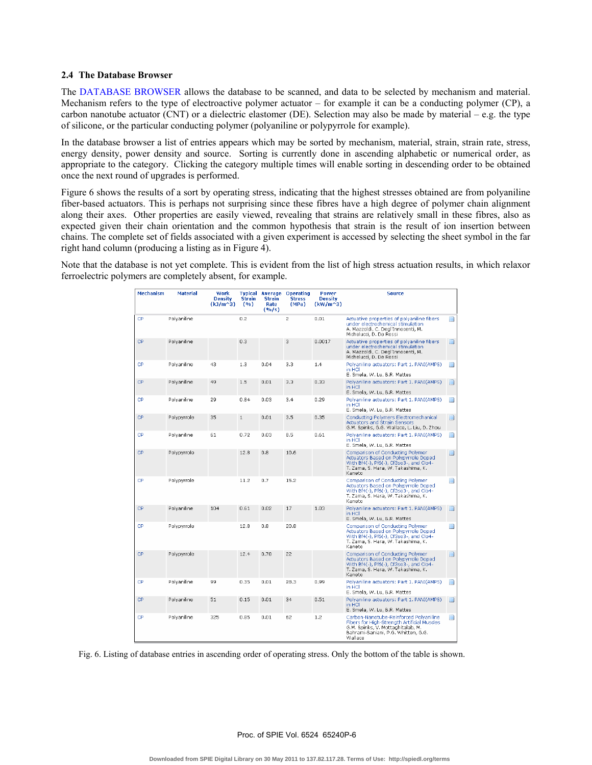#### 2.4 The Database Browser

The DATABASE BROWSER allows the database to be scanned, and data to be selected by mechanism and material. Mechanism refers to the type of electroactive polymer actuator  $-$  for example it can be a conducting polymer (CP), a carbon nanotube actuator (CNT) or a dielectric elastomer (DE). Selection may also be made by material – e.g. the type of silicone, or the particular conducting polymer (polyaniline or polypyrrole for example).

In the database browser a list of entries appears which may be sorted by mechanism, material, strain, strain rate, stress, energy density, power density and source. Sorting is currently done in ascending alphabetic or numerical order, as appropriate to the category. Clicking the category multiple times will enable sorting in descending order to be obtained once the next round of upgrades is performed.

Figure 6 shows the results of a sort by operating stress, indicating that the highest stresses obtained are from polyaniline fiber-based actuators. This is perhaps not surprising since these fibres have a high degree of polymer chain alignment along their axes. Other properties are easily viewed, revealing that strains are relatively small in these fibres, also as expected given their chain orientation and the common hypothesis that strain is the result of ion insertion between chains. The complete set of fields associated with a given experiment is accessed by selecting the sheet symbol in the far right hand column (producing a listing as in Figure 4).

Note that the database is not yet complete. This is evident from the list of high stress actuation results, in which relaxor ferroelectric polymers are completely absent, for example.

| <b>Mechanism</b> | <b>Material</b> | Work<br><b>Density</b><br>$(kJ/m^3)$ | Typical<br><b>Strain</b><br>(9/6) | <b>Strain</b><br>Rate<br>(96/5) | <b>Average Operating</b><br><b>Stress</b><br>(MPa) | <b>Power</b><br><b>Density</b><br>$(kW/m^3)$ | <b>Source</b>                                                                                                                                                                |        |
|------------------|-----------------|--------------------------------------|-----------------------------------|---------------------------------|----------------------------------------------------|----------------------------------------------|------------------------------------------------------------------------------------------------------------------------------------------------------------------------------|--------|
| CP               | Polyaniline     |                                      | 0.2                               |                                 | $\overline{2}$                                     | 0.01                                         | Actuative properties of polyaniline fibers<br>under electrochemical stimulation<br>A. Mazzoldi, C. Degl'Innocenti, M.<br>Michelucci, D. De Rossi                             | $\Box$ |
| <b>CP</b>        | Polvaniline     |                                      | 0.3                               |                                 | 3                                                  | 0.0017                                       | Actuative properties of polvaniline fibers<br>under electrochemical stimulation<br>A. Mazzoldi, C. Degl'Innocenti, M.<br>Michelucci, D. De Rossi                             | D      |
| CP.              | Polyaniline     | 43                                   | 1.3                               | 0.04                            | 3.3                                                | 1.4                                          | Polvaniline actuators: Part 1, PANI(AMPS).<br>in HCl<br>E. Smela, W. Lu, B.R. Mattes                                                                                         | $\Box$ |
| CP               | Polvaniline     | 49                                   | 1.5                               | 0.01                            | 3.3                                                | 0.33                                         | Polyaniline actuators: Part 1. PANI(AMPS)<br>in HCl<br>E. Smela, W. Lu, B.R. Mattes                                                                                          | n      |
| CP.              | Polyaniline     | 29                                   | 0.84                              | 0.03                            | 3.4                                                | 0.29                                         | Polyaniline actuators: Part 1, PANI(AMPS)<br>in HCl<br>E. Smela, W. Lu, B.R. Mattes                                                                                          | D      |
| <b>CP</b>        | Polypyrrole     | 35                                   | $\mathbf{1}$                      | 0.01                            | 3.5                                                | 0.35                                         | Conducting Polymers Electromechanical<br><b>Actuators and Strain Sensors</b><br>G.M. Spinks, G.G. Wallace, L. Liu, D. Zhou.                                                  | D      |
| CP               | Polvaniline     | 61                                   | 0.72                              | 0.03                            | 8.5                                                | 0.61                                         | Polyaniline actuators: Part 1. PANI(AMPS)<br>in HCl<br>E. Smela, W. Lu, B.R. Mattes                                                                                          | n      |
| <b>CP</b>        | Polypyrrole     |                                      | 12.8                              | 0.8                             | 10.6                                               |                                              | Comparison of Conducting Polymer<br>Actuators Based on Polypyrrole Doped<br>With Bf4(-), Pf6(-), Cf3so3-, and Clo4-<br>T. Zama, S. Hara, W. Takashima, K.<br>Kaneto          | $\Box$ |
| CP.              | Polypyrrole     |                                      | 11.2                              | 0.7                             | 15.2                                               |                                              | Comparison of Conducting Polymer<br>Actuators Based on Polypyrrole Doped<br>With Bf4(-), Pf6(-), Cf3so3-, and Clo4-<br>T. Zama, S. Hara, W. Takashima, K.<br>Kaneto          | $\Box$ |
| <b>CP</b>        | Polvaniline     | 104                                  | 0.61                              | 0.02                            | 17                                                 | 1.03                                         | Polyaniline actuators: Part 1. PANI(AMPS)<br>in HCI<br>E. Smela, W. Lu, B.R. Mattes                                                                                          | D      |
| CP               | Polvpyrrole     |                                      | 12.8                              | 0.8                             | 20.8                                               |                                              | Comparison of Conducting Polymer<br>Actuators Based on Polypyrrole Doped<br>With Bf4(-), Pf6(-), Cf3so3-, and Clo4-<br>T. Zama, S. Hara, W. Takashima, K.<br>Kaneto          | $\Box$ |
| CP.              | Polypyrrole     |                                      | 12.4                              | 0.78                            | 22                                                 |                                              | Comparison of Conducting Polymer<br>Actuators Based on Polypyrrole Doped<br>With Bf4(-), Pf6(-), Cf3so3-, and Clo4-<br>T. Zama, S. Hara, W. Takashima, K.<br>Kaneto          | $\Box$ |
| CP               | Polyaniline     | 99                                   | 0.35                              | 0.01                            | 28.3                                               | 0.99                                         | Polyaniline actuators: Part 1. PANI(AMPS)<br>in HCl<br>E. Smela, W. Lu, B.R. Mattes                                                                                          | n      |
| CP               | Polvaniline     | 51                                   | 0.15                              | 0.01                            | 34                                                 | 0.51                                         | Polyaniline actuators: Part 1. PANI(AMPS)<br>in HCl<br>E. Smela, W. Lu, B.R. Mattes                                                                                          | n      |
| CP.              | Polyaniline     | 325                                  | 0.85                              | 0.01                            | 62                                                 | 1.2                                          | Carbon-Nanotube-Reinforced Polyaniline<br>Fibers for High-Strength Artificial Muscles<br>G.M. Spinks, V. Mottaghitalab, M.<br>Bahrami-Saniani, P.G. Whitten, G.G.<br>Wallace | $\Box$ |

Fig. 6. Listing of database entries in ascending order of operating stress. Only the bottom of the table is shown.

Proc. of SPIE Vol. 6524 65240P-6